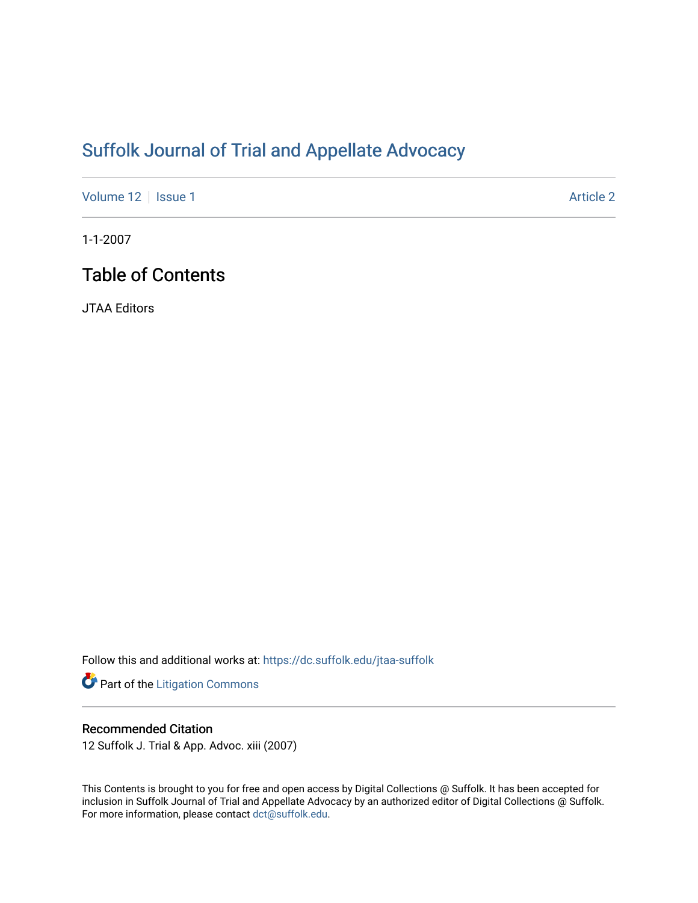# [Suffolk Journal of Trial and Appellate Advocacy](https://dc.suffolk.edu/jtaa-suffolk)

[Volume 12](https://dc.suffolk.edu/jtaa-suffolk/vol12) | [Issue 1](https://dc.suffolk.edu/jtaa-suffolk/vol12/iss1) Article 2

1-1-2007

## Table of Contents

JTAA Editors

Follow this and additional works at: [https://dc.suffolk.edu/jtaa-suffolk](https://dc.suffolk.edu/jtaa-suffolk?utm_source=dc.suffolk.edu%2Fjtaa-suffolk%2Fvol12%2Fiss1%2F2&utm_medium=PDF&utm_campaign=PDFCoverPages) 

Part of the [Litigation Commons](http://network.bepress.com/hgg/discipline/910?utm_source=dc.suffolk.edu%2Fjtaa-suffolk%2Fvol12%2Fiss1%2F2&utm_medium=PDF&utm_campaign=PDFCoverPages)

### Recommended Citation

12 Suffolk J. Trial & App. Advoc. xiii (2007)

This Contents is brought to you for free and open access by Digital Collections @ Suffolk. It has been accepted for inclusion in Suffolk Journal of Trial and Appellate Advocacy by an authorized editor of Digital Collections @ Suffolk. For more information, please contact [dct@suffolk.edu](mailto:dct@suffolk.edu).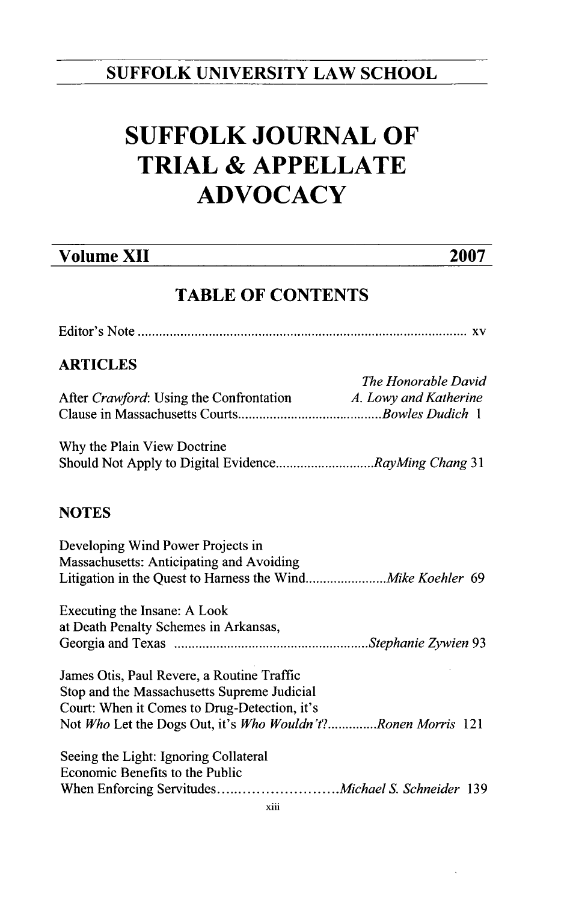## **SUFFOLK UNIVERSITY LAW SCHOOL**

# **SUFFOLK JOURNAL OF TRIAL & APPELLATE ADVOCACY**

## **Volume XII 2007**

## **TABLE OF CONTENTS**

| <b>ARTICLES</b>                                               |                     |
|---------------------------------------------------------------|---------------------|
|                                                               | The Honorable David |
| After Crawford: Using the Confrontation A. Lowy and Katherine |                     |
|                                                               |                     |
| Why the Plain View Doctrine                                   |                     |
| Should Not Apply to Digital EvidenceRayMing Chang 31          |                     |
|                                                               |                     |
| <b>NOTES</b>                                                  |                     |
| Developing Wind Power Projects in                             |                     |
| Massachusetts: Anticipating and Avoiding                      |                     |
|                                                               |                     |
| Executing the Insane: A Look                                  |                     |
| at Death Penalty Schemes in Arkansas,                         |                     |
|                                                               |                     |
| James Otis, Paul Revere, a Routine Traffic                    |                     |
| Stop and the Massachusetts Supreme Judicial                   |                     |
| Court: When it Comes to Drug-Detection, it's                  |                     |
| Not Who Let the Dogs Out, it's Who Wouldn't?Ronen Morris 121  |                     |
| Seeing the Light: Ignoring Collateral                         |                     |
| Economic Benefits to the Public                               |                     |
|                                                               |                     |
| $\sim$ $\sim$ $\sim$ $\sim$ $\sim$ $\sim$                     |                     |